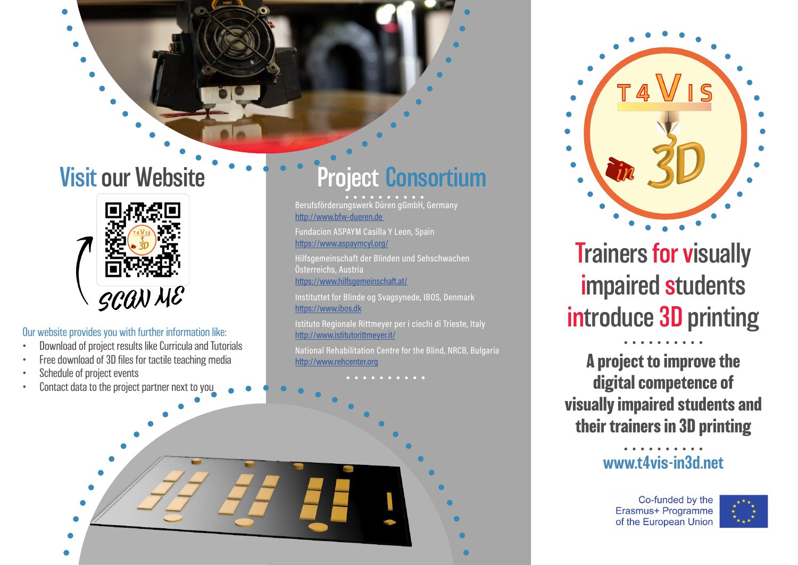

#### Our website provides you with further information like:

- Download of project results like Curricula and Tutorials
- Free download of 3D files for tactile teaching media
- Schedule of project events
- 

# Visit our Website Project Consortium

Berufsförderungswerk Düren gGmbH, Germany http://www.bfw-dueren.de

Fundacion ASPAYM Casilla Y Leon, Spain https://www.aspaymcyl.org/

Hilfsgemeinschaft der Blinden und Sehschwachen Österreichs, Austria https://www.hilfsgemeinschaft.at/

Instituttet for Blinde og Svagsynede, IBOS, Denmark https://www.ibos.dk

Istituto Regionale Rittmeyer per i ciechi di Trieste, Italy http://www.istitutorittmeyer.it/

National Rehabilitation Centre for the Blind, NRCB, Bulgaria http://www.rehcenter.org





Trainers for visually impaired students introduce 3D printing

**A project to improve the digital competence of visually impaired students and their trainers in 3D printing**

### www.t4vis-in3d.net

Co-funded by the Erasmus+ Programme of the European Union